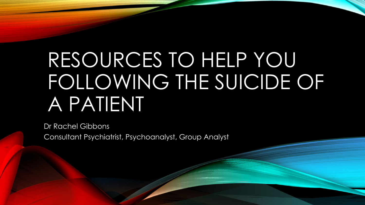# RESOURCES TO HELP YOU FOLLOWING THE SUICIDE OF A PATIENT

Dr Rachel Gibbons Consultant Psychiatrist, Psychoanalyst, Group Analyst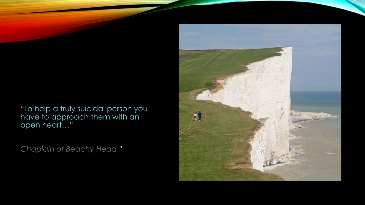"To help a truly suicidal person you have to approach them with an open heart…"

*Chaplain of Beachy Head "*

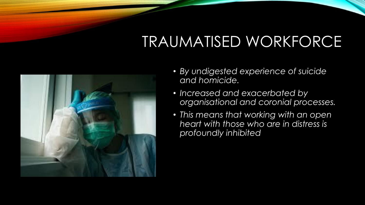## TRAUMATISED WORKFORCE



- *By undigested experience of suicide and homicide.*
- *Increased and exacerbated by organisational and coronial processes.*
- *This means that working with an open heart with those who are in distress is profoundly inhibited*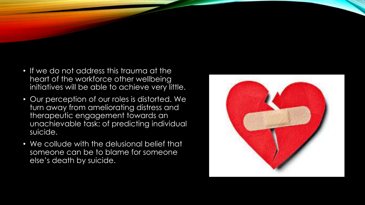- If we do not address this trauma at the heart of the workforce other wellbeing initiatives will be able to achieve very little.
- Our perception of our roles is distorted. We turn away from ameliorating distress and therapeutic engagement towards an unachievable task: of predicting individual suicide.
- We collude with the delusional belief that someone can be to blame for someone else's death by suicide.

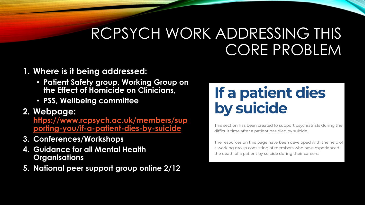### RCPSYCH WORK ADDRESSING THIS CORE PROBLEM

#### **1. Where is it being addressed:**

- **Patient Safety group, Working Group on the Effect of Homicide on Clinicians,**
- **PSS, Wellbeing committee**

#### **2. Webpage:**

**https://www.rcpsych.ac.uk/members/sup [porting-you/if-a-patient-dies-by-suicide](https://www.rcpsych.ac.uk/members/supporting-you/if-a-patient-dies-by-suicide)**

- **3. Conferences/Workshops**
- **4. Guidance for all Mental Health Organisations**
- **5. National peer support group online 2/12**

### If a patient dies by suicide

This section has been created to support psychiatrists during the difficult time after a patient has died by suicide.

The resources on this page have been developed with the help of a working group consisting of members who have experienced the death of a patient by suicide during their careers.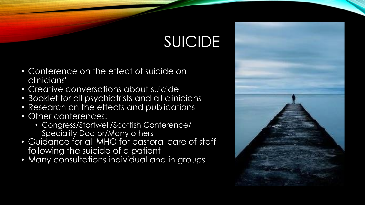## SUICIDE

- Conference on the effect of suicide on clinicians'
- Creative conversations about suicide
- Booklet for all psychiatrists and all clinicians
- Research on the effects and publications
- Other conferences:
	- Congress/Startwell/Scottish Conference/ Speciality Doctor/Many others
- Guidance for all MHO for pastoral care of staff following the suicide of a patient
- Many consultations individual and in groups